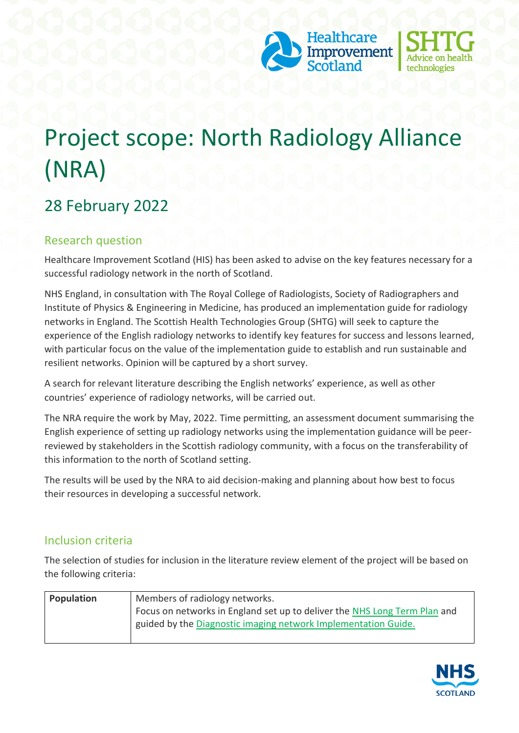



# Project scope: North Radiology Alliance (NRA)

# 28 February 2022

### Research question

Healthcare Improvement Scotland (HIS) has been asked to advise on the key features necessary for a successful radiology network in the north of Scotland.

NHS England, in consultation with The Royal College of Radiologists, Society of Radiographers and Institute of Physics & Engineering in Medicine, has produced an implementation guide for radiology networks in England. The Scottish Health Technologies Group (SHTG) will seek to capture the experience of the English radiology networks to identify key features for success and lessons learned, with particular focus on the value of the implementation guide to establish and run sustainable and resilient networks. Opinion will be captured by a short survey.

A search for relevant literature describing the English networks' experience, as well as other countries' experience of radiology networks, will be carried out.

The NRA require the work by May, 2022. Time permitting, an assessment document summarising the English experience of setting up radiology networks using the implementation guidance will be peerreviewed by stakeholders in the Scottish radiology community, with a focus on the transferability of this information to the north of Scotland setting.

The results will be used by the NRA to aid decision-making and planning about how best to focus their resources in developing a successful network.

### Inclusion criteria

The selection of studies for inclusion in the literature review element of the project will be based on the following criteria:

| Population | Members of radiology networks.                                            |
|------------|---------------------------------------------------------------------------|
|            | Focus on networks in England set up to deliver the NHS Long Term Plan and |
|            | guided by the Diagnostic imaging network Implementation Guide.            |
|            |                                                                           |

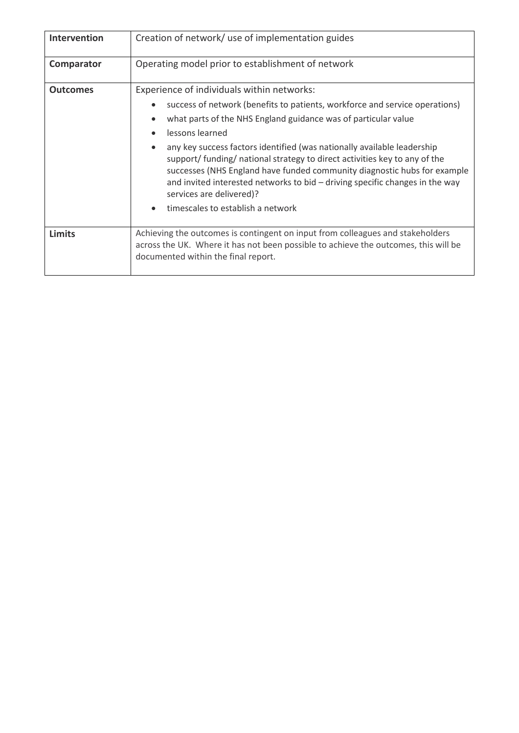| Intervention    | Creation of network/ use of implementation guides                                                                                                                                                                                                                                                                                             |
|-----------------|-----------------------------------------------------------------------------------------------------------------------------------------------------------------------------------------------------------------------------------------------------------------------------------------------------------------------------------------------|
|                 |                                                                                                                                                                                                                                                                                                                                               |
| Comparator      | Operating model prior to establishment of network                                                                                                                                                                                                                                                                                             |
|                 |                                                                                                                                                                                                                                                                                                                                               |
| <b>Outcomes</b> | Experience of individuals within networks:                                                                                                                                                                                                                                                                                                    |
|                 | success of network (benefits to patients, workforce and service operations)                                                                                                                                                                                                                                                                   |
|                 | what parts of the NHS England guidance was of particular value                                                                                                                                                                                                                                                                                |
|                 | lessons learned                                                                                                                                                                                                                                                                                                                               |
|                 | any key success factors identified (was nationally available leadership<br>support/ funding/ national strategy to direct activities key to any of the<br>successes (NHS England have funded community diagnostic hubs for example<br>and invited interested networks to bid – driving specific changes in the way<br>services are delivered)? |
|                 | timescales to establish a network                                                                                                                                                                                                                                                                                                             |
| <b>Limits</b>   | Achieving the outcomes is contingent on input from colleagues and stakeholders<br>across the UK. Where it has not been possible to achieve the outcomes, this will be<br>documented within the final report.                                                                                                                                  |